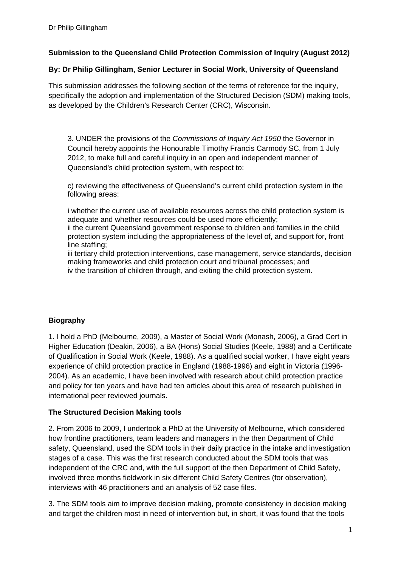## **Submission to the Queensland Child Protection Commission of Inquiry (August 2012)**

#### **By: Dr Philip Gillingham, Senior Lecturer in Social Work, University of Queensland**

This submission addresses the following section of the terms of reference for the inquiry, specifically the adoption and implementation of the Structured Decision (SDM) making tools, as developed by the Children's Research Center (CRC), Wisconsin.

3. UNDER the provisions of the *Commissions of Inquiry Act 1950* the Governor in Council hereby appoints the Honourable Timothy Francis Carmody SC, from 1 July 2012, to make full and careful inquiry in an open and independent manner of Queensland's child protection system, with respect to:

c) reviewing the effectiveness of Queensland's current child protection system in the following areas:

i whether the current use of available resources across the child protection system is adequate and whether resources could be used more efficiently;

ii the current Queensland government response to children and families in the child protection system including the appropriateness of the level of, and support for, front line staffing;

iii tertiary child protection interventions, case management, service standards, decision making frameworks and child protection court and tribunal processes; and iv the transition of children through, and exiting the child protection system.

## **Biography**

1. I hold a PhD (Melbourne, 2009), a Master of Social Work (Monash, 2006), a Grad Cert in Higher Education (Deakin, 2006), a BA (Hons) Social Studies (Keele, 1988) and a Certificate of Qualification in Social Work (Keele, 1988). As a qualified social worker, I have eight years experience of child protection practice in England (1988-1996) and eight in Victoria (1996- 2004). As an academic, I have been involved with research about child protection practice and policy for ten years and have had ten articles about this area of research published in international peer reviewed journals.

## **The Structured Decision Making tools**

2. From 2006 to 2009, I undertook a PhD at the University of Melbourne, which considered how frontline practitioners, team leaders and managers in the then Department of Child safety, Queensland, used the SDM tools in their daily practice in the intake and investigation stages of a case. This was the first research conducted about the SDM tools that was independent of the CRC and, with the full support of the then Department of Child Safety, involved three months fieldwork in six different Child Safety Centres (for observation), interviews with 46 practitioners and an analysis of 52 case files.

3. The SDM tools aim to improve decision making, promote consistency in decision making and target the children most in need of intervention but, in short, it was found that the tools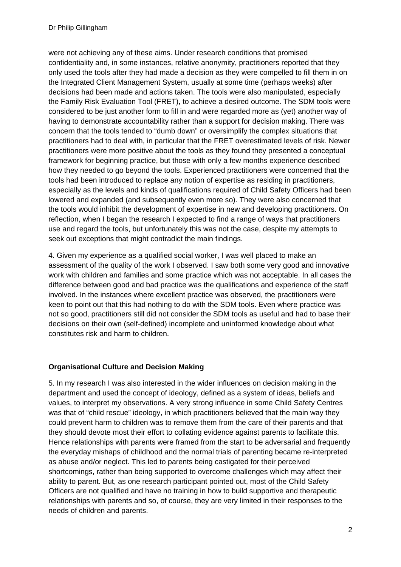were not achieving any of these aims. Under research conditions that promised confidentiality and, in some instances, relative anonymity, practitioners reported that they only used the tools after they had made a decision as they were compelled to fill them in on the Integrated Client Management System, usually at some time (perhaps weeks) after decisions had been made and actions taken. The tools were also manipulated, especially the Family Risk Evaluation Tool (FRET), to achieve a desired outcome. The SDM tools were considered to be just another form to fill in and were regarded more as (yet) another way of having to demonstrate accountability rather than a support for decision making. There was concern that the tools tended to "dumb down" or oversimplify the complex situations that practitioners had to deal with, in particular that the FRET overestimated levels of risk. Newer practitioners were more positive about the tools as they found they presented a conceptual framework for beginning practice, but those with only a few months experience described how they needed to go beyond the tools. Experienced practitioners were concerned that the tools had been introduced to replace any notion of expertise as residing in practitioners, especially as the levels and kinds of qualifications required of Child Safety Officers had been lowered and expanded (and subsequently even more so). They were also concerned that the tools would inhibit the development of expertise in new and developing practitioners. On reflection, when I began the research I expected to find a range of ways that practitioners use and regard the tools, but unfortunately this was not the case, despite my attempts to seek out exceptions that might contradict the main findings.

4. Given my experience as a qualified social worker, I was well placed to make an assessment of the quality of the work I observed. I saw both some very good and innovative work with children and families and some practice which was not acceptable. In all cases the difference between good and bad practice was the qualifications and experience of the staff involved. In the instances where excellent practice was observed, the practitioners were keen to point out that this had nothing to do with the SDM tools. Even where practice was not so good, practitioners still did not consider the SDM tools as useful and had to base their decisions on their own (self-defined) incomplete and uninformed knowledge about what constitutes risk and harm to children.

## **Organisational Culture and Decision Making**

5. In my research I was also interested in the wider influences on decision making in the department and used the concept of ideology, defined as a system of ideas, beliefs and values, to interpret my observations. A very strong influence in some Child Safety Centres was that of "child rescue" ideology, in which practitioners believed that the main way they could prevent harm to children was to remove them from the care of their parents and that they should devote most their effort to collating evidence against parents to facilitate this. Hence relationships with parents were framed from the start to be adversarial and frequently the everyday mishaps of childhood and the normal trials of parenting became re-interpreted as abuse and/or neglect. This led to parents being castigated for their perceived shortcomings, rather than being supported to overcome challenges which may affect their ability to parent. But, as one research participant pointed out, most of the Child Safety Officers are not qualified and have no training in how to build supportive and therapeutic relationships with parents and so, of course, they are very limited in their responses to the needs of children and parents.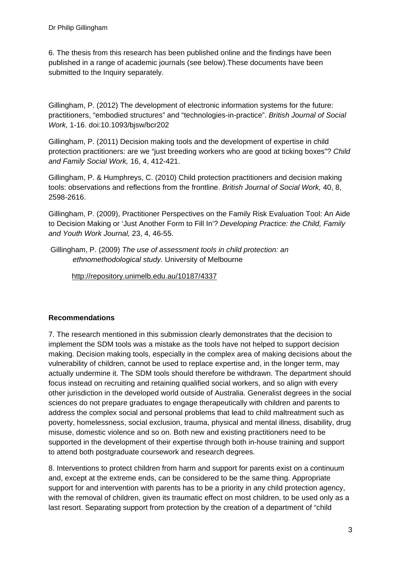6. The thesis from this research has been published online and the findings have been published in a range of academic journals (see below).These documents have been submitted to the Inquiry separately.

Gillingham, P. (2012) The development of electronic information systems for the future: practitioners, "embodied structures" and "technologies-in-practice". *British Journal of Social Work,* 1-16. doi:10.1093/bjsw/bcr202

Gillingham, P. (2011) Decision making tools and the development of expertise in child protection practitioners: are we "just breeding workers who are good at ticking boxes"? *Child and Family Social Work,* 16, 4, 412-421.

Gillingham, P. & Humphreys, C. (2010) Child protection practitioners and decision making tools: observations and reflections from the frontline. *British Journal of Social Work,* 40, 8, 2598-2616.

Gillingham, P. (2009), Practitioner Perspectives on the Family Risk Evaluation Tool: An Aide to Decision Making or 'Just Another Form to Fill In'? *Developing Practice: the Child, Family and Youth Work Journal,* 23, 4, 46-55.

 Gillingham, P. (2009) *The use of assessment tools in child protection: an ethnomethodological study.* University of Melbourne

[http://repository.unimelb.edu.au/10187/4337](https://services.exchange.deakin.edu.au/owa/redir.aspx?C=d40b051186fe432496eac742b8e60144&URL=http%3a%2f%2frepository.unimelb.edu.au%2f10187%2f4337)

# **Recommendations**

7. The research mentioned in this submission clearly demonstrates that the decision to implement the SDM tools was a mistake as the tools have not helped to support decision making. Decision making tools, especially in the complex area of making decisions about the vulnerability of children, cannot be used to replace expertise and, in the longer term, may actually undermine it. The SDM tools should therefore be withdrawn. The department should focus instead on recruiting and retaining qualified social workers, and so align with every other jurisdiction in the developed world outside of Australia. Generalist degrees in the social sciences do not prepare graduates to engage therapeutically with children and parents to address the complex social and personal problems that lead to child maltreatment such as poverty, homelessness, social exclusion, trauma, physical and mental illness, disability, drug misuse, domestic violence and so on. Both new and existing practitioners need to be supported in the development of their expertise through both in-house training and support to attend both postgraduate coursework and research degrees.

8. Interventions to protect children from harm and support for parents exist on a continuum and, except at the extreme ends, can be considered to be the same thing. Appropriate support for and intervention with parents has to be a priority in any child protection agency, with the removal of children, given its traumatic effect on most children, to be used only as a last resort. Separating support from protection by the creation of a department of "child